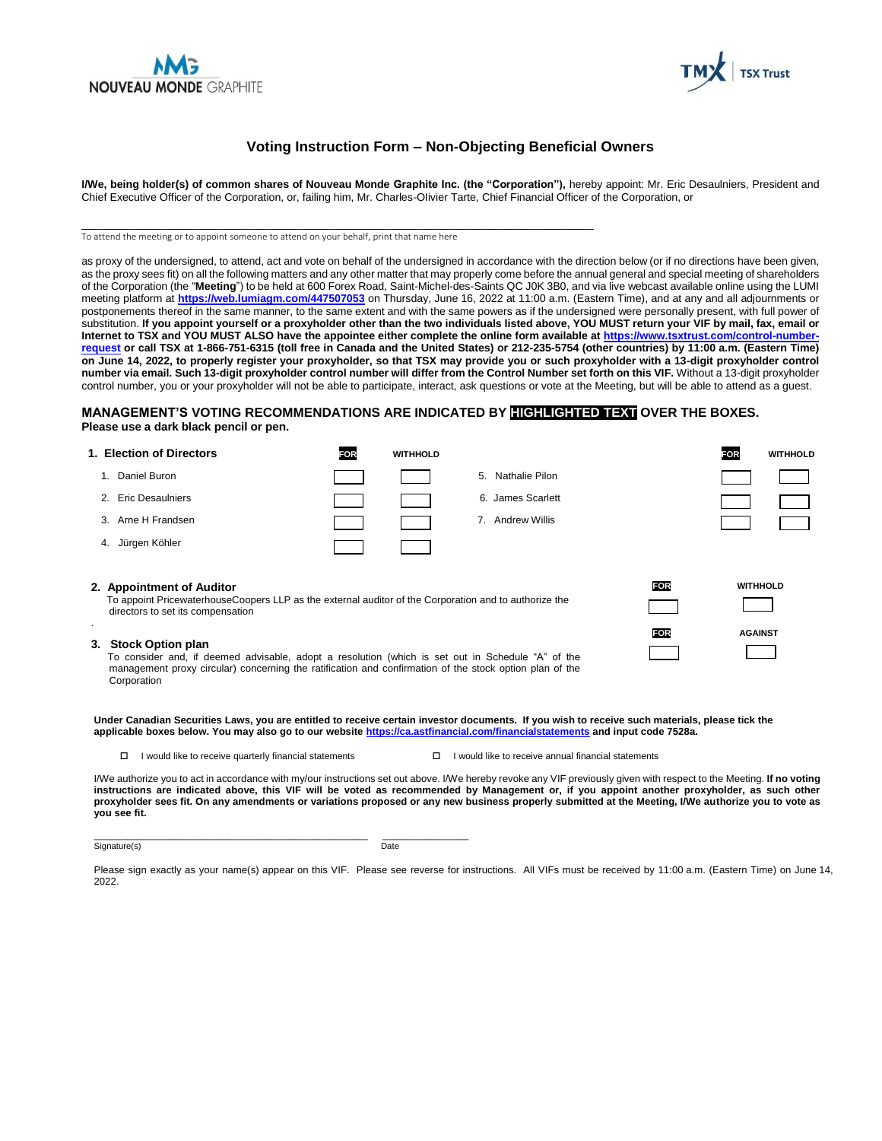



## **Voting Instruction Form – Non-Objecting Beneficial Owners**

**I/We, being holder(s) of common shares of Nouveau Monde Graphite Inc. (the "Corporation"),** hereby appoint: Mr. Eric Desaulniers, President and Chief Executive Officer of the Corporation, or, failing him, Mr. Charles-OIivier Tarte, Chief Financial Officer of the Corporation, or

To attend the meeting or to appoint someone to attend on your behalf, print that name here

\_\_\_\_\_\_\_\_\_\_\_\_\_\_\_\_\_\_\_\_\_\_\_\_\_\_\_\_\_\_\_\_\_\_\_\_\_\_\_\_\_\_\_\_\_\_\_\_\_\_\_\_\_\_\_\_\_\_\_\_\_\_\_\_\_\_\_\_\_\_\_\_\_\_\_\_\_\_\_\_

as proxy of the undersigned, to attend, act and vote on behalf of the undersigned in accordance with the direction below (or if no directions have been given, as the proxy sees fit) on all the following matters and any other matter that may properly come before the annual general and special meeting of shareholders of the Corporation (the "**Meeting**") to be held at 600 Forex Road, Saint-Michel-des-Saints QC J0K 3B0, and via live webcast available online using the LUMI meeting platform at **<https://web.lumiagm.com/447507053>** on Thursday, June 16, 2022 at 11:00 a.m. (Eastern Time), and at any and all adjournments or postponements thereof in the same manner, to the same extent and with the same powers as if the undersigned were personally present, with full power of substitution. **If you appoint yourself or a proxyholder other than the two individuals listed above, YOU MUST return your VIF by mail, fax, email or Internet to TSX and YOU MUST ALSO have the appointee either complete the online form available at [https://www.tsxtrust.com/control-number](https://www.tsxtrust.com/control-number-request)[request](https://www.tsxtrust.com/control-number-request) or call TSX at 1-866-751-6315 (toll free in Canada and the United States) or 212-235-5754 (other countries) by 11:00 a.m. (Eastern Time) on June 14, 2022, to properly register your proxyholder, so that TSX may provide you or such proxyholder with a 13-digit proxyholder control number via email. Such 13-digit proxyholder control number will differ from the Control Number set forth on this VIF.** Without a 13-digit proxyholder control number, you or your proxyholder will not be able to participate, interact, ask questions or vote at the Meeting, but will be able to attend as a guest.

#### **MANAGEMENT'S VOTING RECOMMENDATIONS ARE INDICATED BY HIGHLIGHTED TEXT OVER THE BOXES. Please use a dark black pencil or pen.**

| 1. Election of Directors                                                                                                                                                                                                                            | <b>FOR</b> | <b>WITHHOLD</b>      |     | FOR<br><b>WITHHOLD</b> |
|-----------------------------------------------------------------------------------------------------------------------------------------------------------------------------------------------------------------------------------------------------|------------|----------------------|-----|------------------------|
| Daniel Buron<br>1.                                                                                                                                                                                                                                  |            | Nathalie Pilon<br>5. |     |                        |
| 2. Eric Desaulniers                                                                                                                                                                                                                                 |            | 6. James Scarlett    |     |                        |
| 3. Arne H Frandsen                                                                                                                                                                                                                                  |            | Andrew Willis<br>7.  |     |                        |
| Jürgen Köhler<br>4.                                                                                                                                                                                                                                 |            |                      |     |                        |
| 2. Appointment of Auditor<br>To appoint PricewaterhouseCoopers LLP as the external auditor of the Corporation and to authorize the<br>directors to set its compensation                                                                             |            |                      | FOR | <b>WITHHOLD</b>        |
| 3. Stock Option plan<br>To consider and, if deemed advisable, adopt a resolution (which is set out in Schedule "A" of the<br>management proxy circular) concerning the ratification and confirmation of the stock option plan of the<br>Corporation |            |                      | FOR | <b>AGAINST</b>         |

**Under Canadian Securities Laws, you are entitled to receive certain investor documents. If you wish to receive such materials, please tick the applicable boxes below. You may also go to our websit[e https://ca.astfinancial.com/financialstatements](https://ca.astfinancial.com/financialstatements) and input code 7528a.** 

- $\Box$  I would like to receive quarterly financial statements  $\Box$  I would like to receive annual financial statements
	-

I/We authorize you to act in accordance with my/our instructions set out above. I/We hereby revoke any VIF previously given with respect to the Meeting. **If no voting instructions are indicated above, this VIF will be voted as recommended by Management or, if you appoint another proxyholder, as such other proxyholder sees fit. On any amendments or variations proposed or any new business properly submitted at the Meeting, I/We authorize you to vote as you see fit.**

Signature(s) Date

\_\_\_\_\_\_\_\_\_\_\_\_\_\_\_\_\_\_\_\_\_\_\_\_\_\_\_\_\_\_\_\_\_\_\_\_\_\_\_\_\_\_\_\_\_\_\_\_\_\_\_\_\_\_\_\_\_ \_\_\_\_\_\_\_\_\_\_\_\_\_\_\_\_\_\_

Please sign exactly as your name(s) appear on this VIF. Please see reverse for instructions. All VIFs must be received by 11:00 a.m. (Eastern Time) on June 14, 2022.